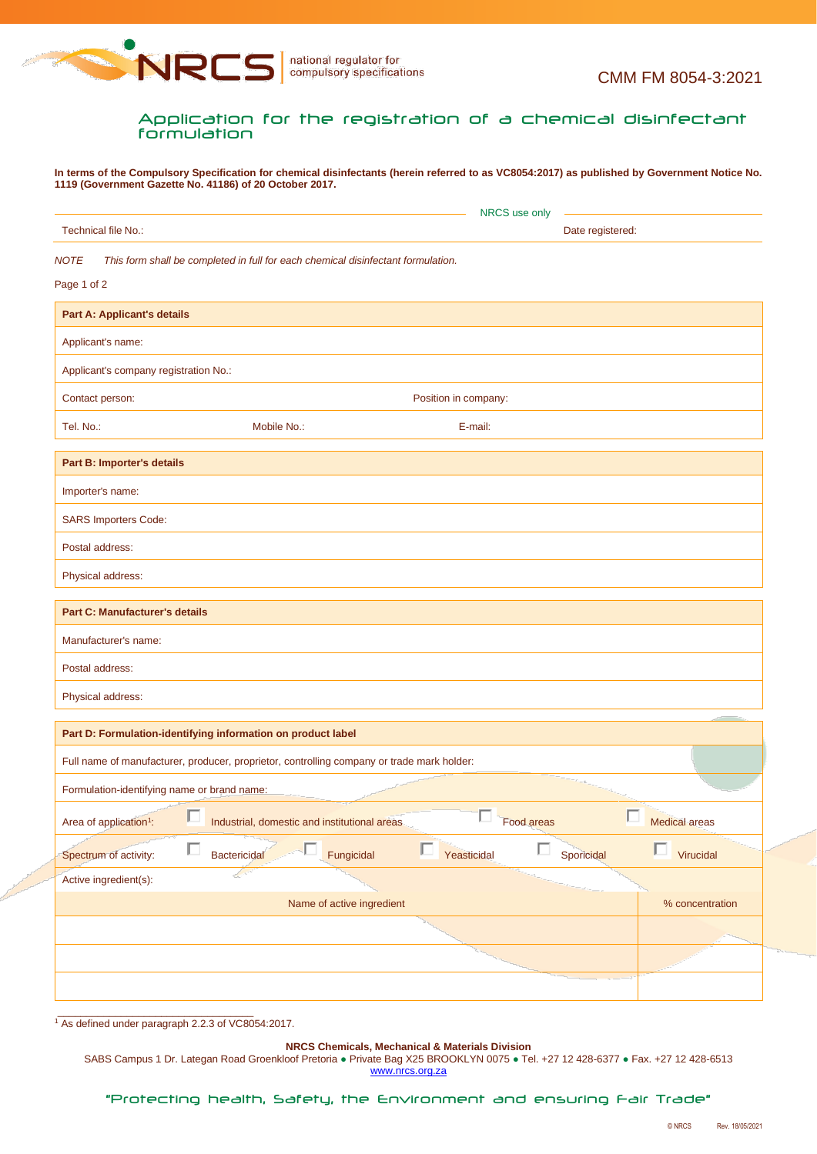

## Application for the registration of a chemical disinfectant formulation

**In terms of the Compulsory Specification for chemical disinfectants (herein referred to as VC8054:2017) as published by Government Notice No. 1119 (Government Gazette No. 41186) of 20 October 2017.**

|                                                                                            |                                                                                  | NRCS use only         |                  |                  |
|--------------------------------------------------------------------------------------------|----------------------------------------------------------------------------------|-----------------------|------------------|------------------|
| Technical file No.:                                                                        |                                                                                  |                       | Date registered: |                  |
| <b>NOTE</b>                                                                                | This form shall be completed in full for each chemical disinfectant formulation. |                       |                  |                  |
| Page 1 of 2                                                                                |                                                                                  |                       |                  |                  |
| <b>Part A: Applicant's details</b>                                                         |                                                                                  |                       |                  |                  |
| Applicant's name:                                                                          |                                                                                  |                       |                  |                  |
| Applicant's company registration No.:                                                      |                                                                                  |                       |                  |                  |
| Contact person:<br>Position in company:                                                    |                                                                                  |                       |                  |                  |
| Tel. No.:                                                                                  | Mobile No.:                                                                      | E-mail:               |                  |                  |
| <b>Part B: Importer's details</b>                                                          |                                                                                  |                       |                  |                  |
| Importer's name:                                                                           |                                                                                  |                       |                  |                  |
| <b>SARS Importers Code:</b>                                                                |                                                                                  |                       |                  |                  |
| Postal address:                                                                            |                                                                                  |                       |                  |                  |
| Physical address:                                                                          |                                                                                  |                       |                  |                  |
| <b>Part C: Manufacturer's details</b>                                                      |                                                                                  |                       |                  |                  |
| Manufacturer's name:                                                                       |                                                                                  |                       |                  |                  |
| Postal address:                                                                            |                                                                                  |                       |                  |                  |
| Physical address:                                                                          |                                                                                  |                       |                  |                  |
| Part D: Formulation-identifying information on product label                               |                                                                                  |                       |                  |                  |
| Full name of manufacturer, producer, proprietor, controlling company or trade mark holder: |                                                                                  |                       |                  |                  |
| Formulation-identifying name or brand name:                                                |                                                                                  |                       |                  |                  |
| Area of application <sup>1</sup> :                                                         | Industrial, domestic and institutional areas                                     | Food areas            |                  | Medical areas    |
| П<br>Spectrum of activity:                                                                 | $\Box$<br>Fungicidal<br><b>Bactericidal</b>                                      | П<br>П<br>Yeasticidal | Sporicidal       | $\Box$ Virucidal |
| Active ingredient(s):                                                                      |                                                                                  |                       |                  |                  |
|                                                                                            | Name of active ingredient                                                        |                       |                  | % concentration  |
|                                                                                            |                                                                                  |                       |                  |                  |
|                                                                                            |                                                                                  |                       |                  |                  |
|                                                                                            |                                                                                  |                       |                  |                  |

\_\_\_\_\_\_\_\_\_\_\_\_\_\_\_\_\_\_\_\_\_\_\_\_\_\_\_\_\_\_\_\_\_\_ <sup>1</sup> As defined under paragraph 2.2.3 of VC8054:2017.

## **NRCS Chemicals, Mechanical & Materials Division**

SABS Campus 1 Dr. Lategan Road Groenkloof Pretoria · Private Bag X25 BROOKLYN 0075 · Tel. +27 12 428-6377 · Fax. +27 12 428-6513 [www.nrcs.org.za](http://www.nrcs.org.za/)

"Protecting health, Safety, the Environment and ensuring Fair Trade"